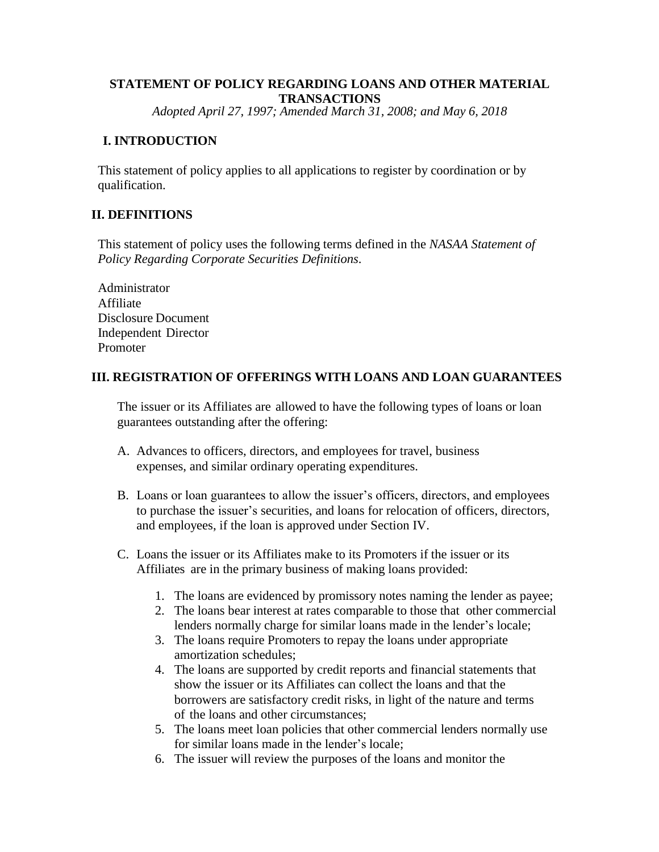# **STATEMENT OF POLICY REGARDING LOANS AND OTHER MATERIAL TRANSACTIONS**

*Adopted April 27, 1997; Amended March 31, 2008; and May 6, 2018*

### **I. INTRODUCTION**

This statement of policy applies to all applications to register by coordination or by qualification.

# **II. DEFINITIONS**

This statement of policy uses the following terms defined in the *NASAA Statement of Policy Regarding Corporate Securities Definitions*.

Administrator Affiliate Disclosure Document Independent Director Promoter

# **III. REGISTRATION OF OFFERINGS WITH LOANS AND LOAN GUARANTEES**

The issuer or its Affiliates are allowed to have the following types of loans or loan guarantees outstanding after the offering:

- A. Advances to officers, directors, and employees for travel, business expenses, and similar ordinary operating expenditures.
- B. Loans or loan guarantees to allow the issuer's officers, directors, and employees to purchase the issuer's securities, and loans for relocation of officers, directors, and employees, if the loan is approved under Section IV.
- C. Loans the issuer or its Affiliates make to its Promoters if the issuer or its Affiliates are in the primary business of making loans provided:
	- 1. The loans are evidenced by promissory notes naming the lender as payee;
	- 2. The loans bear interest at rates comparable to those that other commercial lenders normally charge for similar loans made in the lender's locale;
	- 3. The loans require Promoters to repay the loans under appropriate amortization schedules;
	- 4. The loans are supported by credit reports and financial statements that show the issuer or its Affiliates can collect the loans and that the borrowers are satisfactory credit risks, in light of the nature and terms of the loans and other circumstances;
	- 5. The loans meet loan policies that other commercial lenders normally use for similar loans made in the lender's locale;
	- 6. The issuer will review the purposes of the loans and monitor the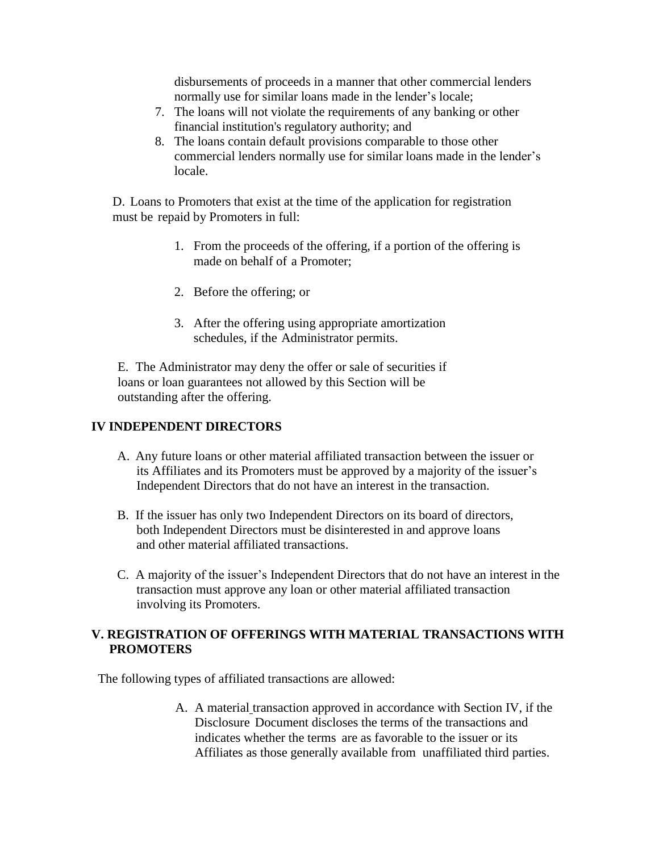disbursements of proceeds in a manner that other commercial lenders normally use for similar loans made in the lender's locale;

- 7. The loans will not violate the requirements of any banking or other financial institution's regulatory authority; and
- 8. The loans contain default provisions comparable to those other commercial lenders normally use for similar loans made in the lender's locale.

D. Loans to Promoters that exist at the time of the application for registration must be repaid by Promoters in full:

- 1. From the proceeds of the offering, if a portion of the offering is made on behalf of a Promoter;
- 2. Before the offering; or
- 3. After the offering using appropriate amortization schedules, if the Administrator permits.

E. The Administrator may deny the offer or sale of securities if loans or loan guarantees not allowed by this Section will be outstanding after the offering.

#### **IV INDEPENDENT DIRECTORS**

- A. Any future loans or other material affiliated transaction between the issuer or its Affiliates and its Promoters must be approved by a majority of the issuer's Independent Directors that do not have an interest in the transaction.
- B. If the issuer has only two Independent Directors on its board of directors, both Independent Directors must be disinterested in and approve loans and other material affiliated transactions.
- C. A majority of the issuer's Independent Directors that do not have an interest in the transaction must approve any loan or other material affiliated transaction involving its Promoters.

#### **V. REGISTRATION OF OFFERINGS WITH MATERIAL TRANSACTIONS WITH PROMOTERS**

The following types of affiliated transactions are allowed:

A. A material transaction approved in accordance with Section IV, if the Disclosure Document discloses the terms of the transactions and indicates whether the terms are as favorable to the issuer or its Affiliates as those generally available from unaffiliated third parties.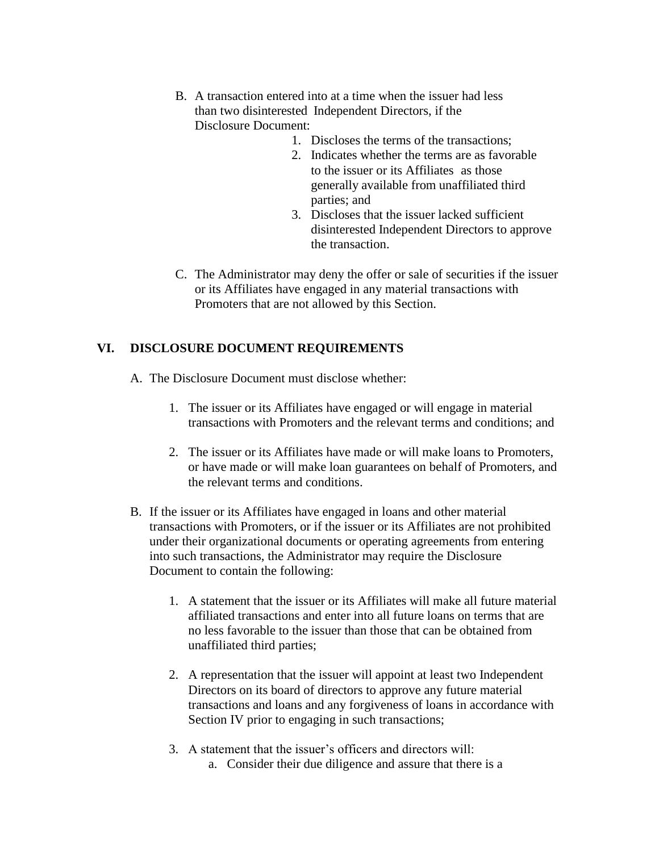- B. A transaction entered into at a time when the issuer had less than two disinterested Independent Directors, if the Disclosure Document:
	- 1. Discloses the terms of the transactions;
	- 2. Indicates whether the terms are as favorable to the issuer or its Affiliates as those generally available from unaffiliated third parties; and
	- 3. Discloses that the issuer lacked sufficient disinterested Independent Directors to approve the transaction.
- C. The Administrator may deny the offer or sale of securities if the issuer or its Affiliates have engaged in any material transactions with Promoters that are not allowed by this Section.

# **VI. DISCLOSURE DOCUMENT REQUIREMENTS**

A. The Disclosure Document must disclose whether:

- 1. The issuer or its Affiliates have engaged or will engage in material transactions with Promoters and the relevant terms and conditions; and
- 2. The issuer or its Affiliates have made or will make loans to Promoters, or have made or will make loan guarantees on behalf of Promoters, and the relevant terms and conditions.
- B. If the issuer or its Affiliates have engaged in loans and other material transactions with Promoters, or if the issuer or its Affiliates are not prohibited under their organizational documents or operating agreements from entering into such transactions, the Administrator may require the Disclosure Document to contain the following:
	- 1. A statement that the issuer or its Affiliates will make all future material affiliated transactions and enter into all future loans on terms that are no less favorable to the issuer than those that can be obtained from unaffiliated third parties;
	- 2. A representation that the issuer will appoint at least two Independent Directors on its board of directors to approve any future material transactions and loans and any forgiveness of loans in accordance with Section IV prior to engaging in such transactions;
	- 3. A statement that the issuer's officers and directors will: a. Consider their due diligence and assure that there is a